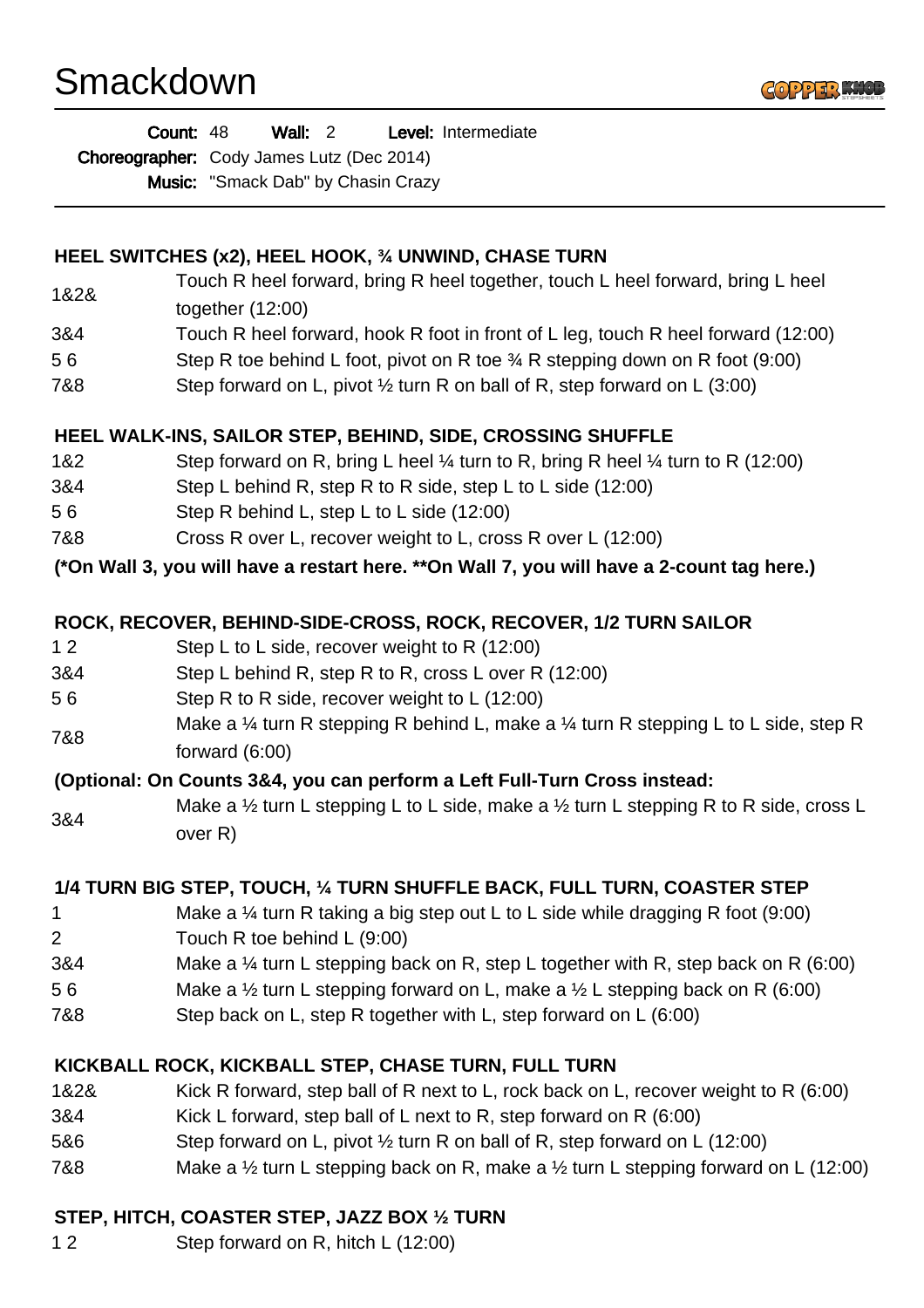# Smackdown



| Count: 48                                                                                                      | Wall: $2$ |  | Level: Intermediate |
|----------------------------------------------------------------------------------------------------------------|-----------|--|---------------------|
| $\bigcap$ and a second compact $\bigcap$ and $\bigcap$ and $\bigcap$ and $\bigcap$ and $\bigcap$ and $\bigcap$ |           |  |                     |

Choreographer: Cody James Lutz (Dec 2014)

Music: "Smack Dab" by Chasin Crazy

### **HEEL SWITCHES (x2), HEEL HOOK, ¾ UNWIND, CHASE TURN**

- 1&2& Touch R heel forward, bring R heel together, touch L heel forward, bring L heel
- together (12:00)
- 3&4 Touch R heel forward, hook R foot in front of L leg, touch R heel forward (12:00)
- 5 6 Step R toe behind L foot, pivot on R toe 3/4 R stepping down on R foot (9:00)
- 7&8 Step forward on L, pivot ½ turn R on ball of R, step forward on L (3:00)

## **HEEL WALK-INS, SAILOR STEP, BEHIND, SIDE, CROSSING SHUFFLE**

- 1&2 Step forward on R, bring L heel ¼ turn to R, bring R heel ¼ turn to R (12:00)
- 3&4 Step L behind R, step R to R side, step L to L side (12:00)
- 5 6 Step R behind L, step L to L side (12:00)
- 7&8 Cross R over L, recover weight to L, cross R over L (12:00)

## **(\*On Wall 3, you will have a restart here. \*\*On Wall 7, you will have a 2-count tag here.)**

## **ROCK, RECOVER, BEHIND-SIDE-CROSS, ROCK, RECOVER, 1/2 TURN SAILOR**

- 1 2 Step L to L side, recover weight to R (12:00)
- 3&4 Step L behind R, step R to R, cross L over R (12:00)
- 5 6 Step R to R side, recover weight to L (12:00)
- 7&8 Make a 1/4 turn R stepping R behind L, make a 1/4 turn R stepping L to L side, step R forward (6:00)

#### **(Optional: On Counts 3&4, you can perform a Left Full-Turn Cross instead:**

3&4 Make a  $\frac{1}{2}$  turn L stepping L to L side, make a  $\frac{1}{2}$  turn L stepping R to R side, cross L over R)

#### **1/4 TURN BIG STEP, TOUCH, ¼ TURN SHUFFLE BACK, FULL TURN, COASTER STEP**

- 1 Make a ¼ turn R taking a big step out L to L side while dragging R foot (9:00)
- 2 Touch R toe behind L (9:00)
- 3&4 Make a  $\frac{1}{4}$  turn L stepping back on R, step L together with R, step back on R (6:00)
- 5 6 Make a  $\frac{1}{2}$  turn L stepping forward on L, make a  $\frac{1}{2}$  L stepping back on R (6:00)
- 7&8 Step back on L, step R together with L, step forward on L (6:00)

#### **KICKBALL ROCK, KICKBALL STEP, CHASE TURN, FULL TURN**

- 1&2& Kick R forward, step ball of R next to L, rock back on L, recover weight to R (6:00)
- 3&4 Kick L forward, step ball of L next to R, step forward on R (6:00)
- 5&6 Step forward on L, pivot ½ turn R on ball of R, step forward on L (12:00)
- 7&8 Make a ½ turn L stepping back on R, make a ½ turn L stepping forward on L (12:00)

## **STEP, HITCH, COASTER STEP, JAZZ BOX ½ TURN**

1 2 Step forward on R, hitch L (12:00)